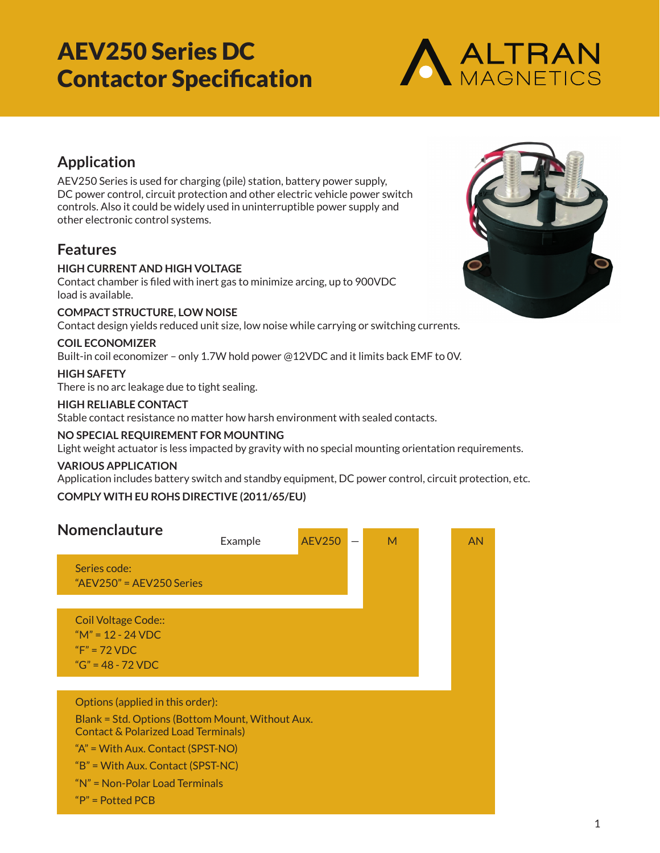

## **Application**

AEV250 Series is used for charging (pile) station, battery power supply, DC power control, circuit protection and other electric vehicle power switch controls. Also it could be widely used in uninterruptible power supply and other electronic control systems.

### **Features**

#### **HIGH CURRENT AND HIGH VOLTAGE**

Contact chamber is filed with inert gas to minimize arcing, up to 900VDC load is available.

#### **COMPACT STRUCTURE, LOW NOISE**

Contact design yields reduced unit size, low noise while carrying or switching currents.

#### **COIL ECONOMIZER**

Built-in coil economizer – only 1.7W hold power @12VDC and it limits back EMF to 0V.

#### **HIGH SAFETY**

There is no arc leakage due to tight sealing.

#### **HIGH RELIABLE CONTACT**

Stable contact resistance no matter how harsh environment with sealed contacts.

#### **NO SPECIAL REQUIREMENT FOR MOUNTING**

Light weight actuator is less impacted by gravity with no special mounting orientation requirements.

#### **VARIOUS APPLICATION**

Application includes battery switch and standby equipment, DC power control, circuit protection, etc.

#### **COMPLY WITH EU ROHS DIRECTIVE (2011/65/EU)**



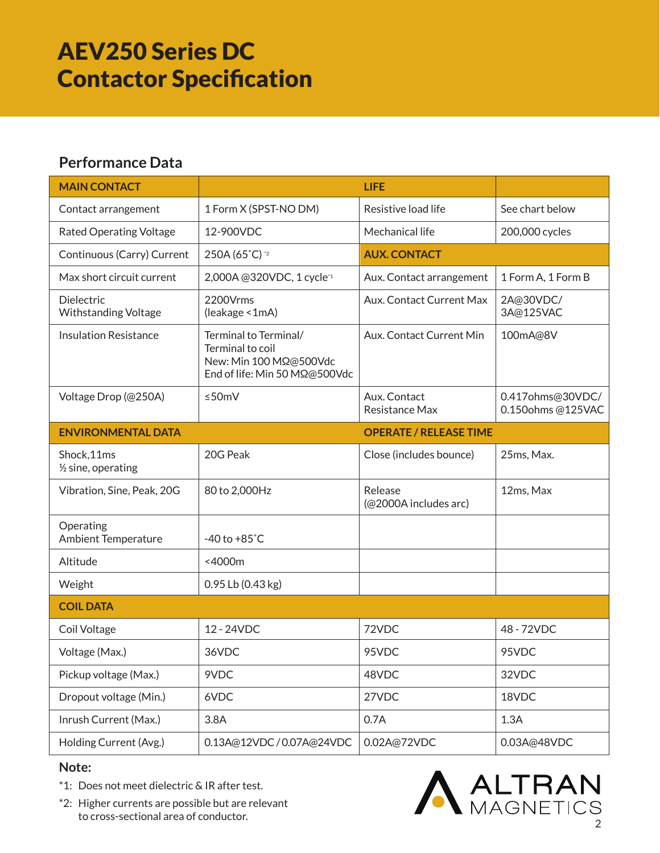## **Performance Data**

| <b>MAIN CONTACT</b>                          | <b>LIFE</b>                                                                                          |                                  |                                      |
|----------------------------------------------|------------------------------------------------------------------------------------------------------|----------------------------------|--------------------------------------|
| Contact arrangement                          | 1 Form X (SPST-NO DM)                                                                                | Resistive load life              | See chart below                      |
| <b>Rated Operating Voltage</b>               | 12-900VDC                                                                                            | Mechanical life                  | 200,000 cycles                       |
| Continuous (Carry) Current                   | 250A (65°C) *2                                                                                       | <b>AUX. CONTACT</b>              |                                      |
| Max short circuit current                    | 2,000A@320VDC, 1 cycle*1                                                                             | Aux. Contact arrangement         | 1 Form A, 1 Form B                   |
| Dielectric<br><b>Withstanding Voltage</b>    | 2200Vrms<br>(leakage < 1mA)                                                                          | Aux. Contact Current Max         | 2A@30VDC/<br>3A@125VAC               |
| <b>Insulation Resistance</b>                 | Terminal to Terminal/<br>Terminal to coil<br>New: Min 100 MΩ@500Vdc<br>End of life: Min 50 MΩ@500Vdc | Aux. Contact Current Min         | 100mA@8V                             |
| Voltage Drop (@250A)                         | ≤50m $V$                                                                                             | Aux. Contact<br>Resistance Max   | 0.417ohms@30VDC/<br>0.150ohms@125VAC |
| <b>ENVIRONMENTAL DATA</b>                    |                                                                                                      | <b>OPERATE / RELEASE TIME</b>    |                                      |
| Shock, 11ms<br>$\frac{1}{2}$ sine, operating | 20G Peak                                                                                             | Close (includes bounce)          | 25ms, Max.                           |
| Vibration, Sine, Peak, 20G                   | 80 to 2,000Hz                                                                                        | Release<br>(@2000A includes arc) | 12ms, Max                            |
| Operating<br><b>Ambient Temperature</b>      | $-40$ to $+85^{\circ}$ C                                                                             |                                  |                                      |
| Altitude                                     | <4000m                                                                                               |                                  |                                      |
| Weight                                       | 0.95 Lb (0.43 kg)                                                                                    |                                  |                                      |
| <b>COIL DATA</b>                             |                                                                                                      |                                  |                                      |
| Coil Voltage                                 | 12 - 24VDC                                                                                           | 72VDC                            | 48 - 72VDC                           |
| Voltage (Max.)                               | 36VDC                                                                                                | 95VDC                            | 95VDC                                |
| Pickup voltage (Max.)                        | 9VDC                                                                                                 | 48VDC                            | 32VDC                                |
| Dropout voltage (Min.)                       | 6VDC                                                                                                 | 27VDC                            | 18VDC                                |
| Inrush Current (Max.)                        | 3.8A                                                                                                 | 0.7A                             | 1.3A                                 |
| Holding Current (Avg.)                       | 0.13A@12VDC/0.07A@24VDC                                                                              | 0.02A@72VDC                      | 0.03A@48VDC                          |

### **Note:**

- \*1: Does not meet dielectric & IR after test.
- \*2: Higher currents are possible but are relevant to cross-sectional area of conductor.

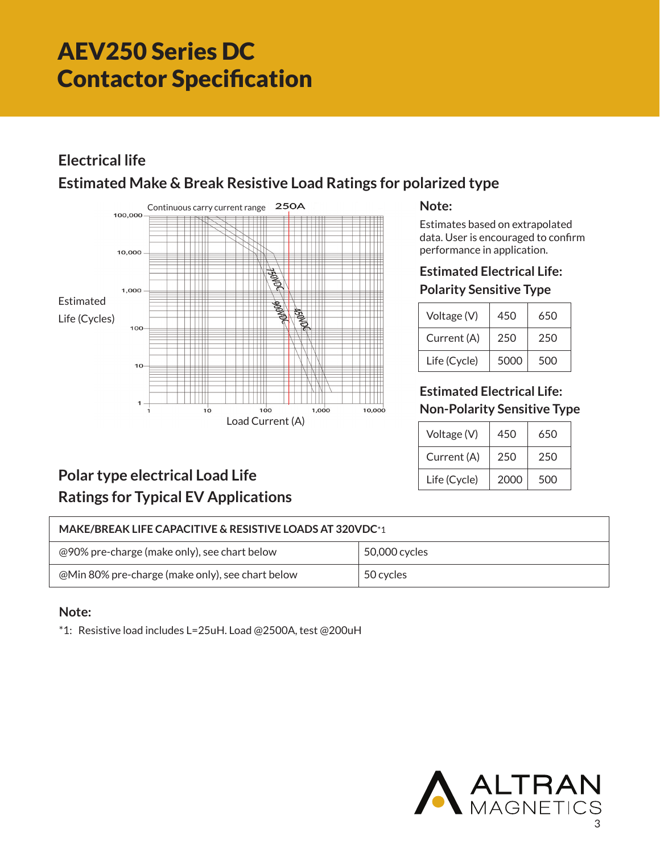# **Electrical life**

# **Estimated Make & Break Resistive Load Ratings for polarized type**



#### **Note:**

Estimates based on extrapolated data. User is encouraged to confirm performance in application.

# **Estimated Electrical Life:**

### **Polarity Sensitive Type**

| Voltage (V)  | 450  | 650 |
|--------------|------|-----|
| Current (A)  | 250  | 250 |
| Life (Cycle) | 5000 | 500 |

### **Estimated Electrical Life: Non-Polarity Sensitive Type**

| Voltage (V)  | 450  | 650 |
|--------------|------|-----|
| Current (A)  | 250  | 250 |
| Life (Cycle) | 2000 | 500 |

# **Polar type electrical Load Life Ratings for Typical EV Applications**

| <b>MAKE/BREAK LIFE CAPACITIVE &amp; RESISTIVE LOADS AT 320VDC*1</b> |               |  |  |  |
|---------------------------------------------------------------------|---------------|--|--|--|
| @90% pre-charge (make only), see chart below                        | 50,000 cycles |  |  |  |
| @Min 80% pre-charge (make only), see chart below                    | 50 cycles     |  |  |  |

### **Note:**

\*1: Resistive load includes L=25uH. Load @2500A, test @200uH

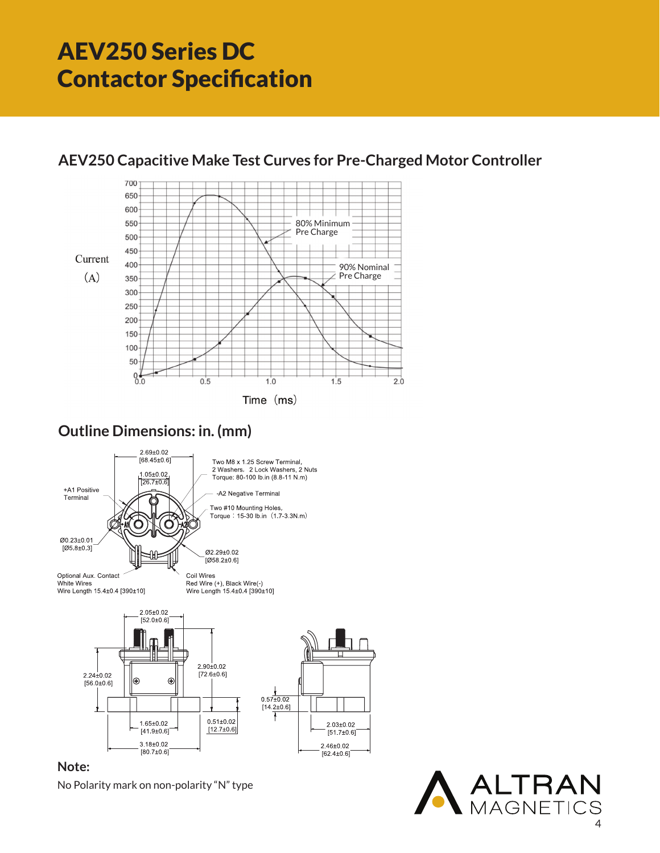

## **AEV250 Capacitive Make Test Curves for Pre-Charged Motor Controller**

## **Outline Dimensions: in. (mm)**



### **Note:**

No Polarity mark on non-polarity "N" type